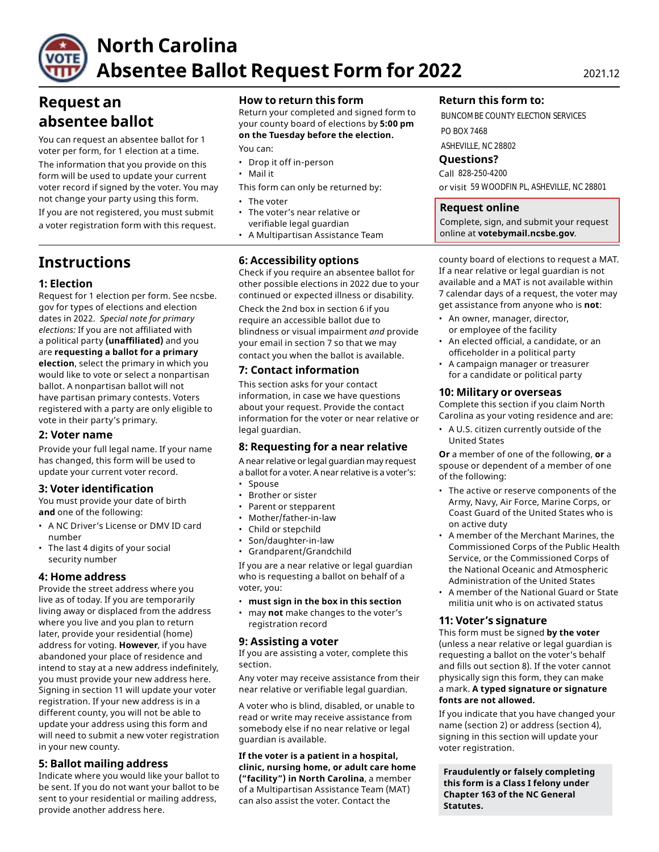

# **North Carolina Absentee Ballot Request Form for 2022** 2021.12

# **Request an absentee ballot**

You can request an absentee ballot for 1 voter per form, for 1 election at a time.

The information that you provide on this form will be used to update your current voter record if signed by the voter. You may not change your party using this form. • The voter

If you are not registered, you must submit • The voter's near relative or a voter registration form with this request.

# **Instructions**

### **1: Election**

Request for 1 election per form. See ncsbe. gov for types of elections and election dates in 2022. *Special note for primary elections:* If you are not affiliated with a political party **(unaffiliated)** and you are **requesting a ballot for a primary election**, select the primary in which you would like to vote or select a nonpartisan ballot. A nonpartisan ballot will not have partisan primary contests. Voters registered with a party are only eligible to vote in their party's primary.

#### **2: Voter name**

Provide your full legal name. If your name has changed, this form will be used to update your current voter record.

### **3: Voter identification**

You must provide your date of birth **and** one of the following:

- A NC Driver's License or DMV ID card number
- The last 4 digits of your social security number

#### **4: Home address**

Provide the street address where you live as of today. If you are temporarily living away or displaced from the address where you live and you plan to return later, provide your residential (home) address for voting. **However**, if you have abandoned your place of residence and intend to stay at a new address indefinitely, you must provide your new address here. Signing in section 11 will update your voter registration. If your new address is in a different county, you will not be able to update your address using this form and will need to submit a new voter registration in your new county.

#### **5: Ballot mailing address**

Indicate where you would like your ballot to be sent. If you do not want your ballot to be sent to your residential or mailing address, provide another address here.

#### **How to return this form**

Return your completed and signed form to your county board of elections by **5:00 pm on the Tuesday before the election.** 

You can:

- Drop it off in-person
- Mail it
- This form can only be returned by:
- 
- verifiable legal guardian
- A Multipartisan Assistance Team

## **6: Accessibility options**

Check if you require an absentee ballot for other possible elections in 2022 due to your continued or expected illness or disability.

Check the 2nd box in section 6 if you require an accessible ballot due to blindness or visual impairment *and* provide your email in section 7 so that we may contact you when the ballot is available.

#### **7: Contact information**

This section asks for your contact information, in case we have questions about your request. Provide the contact information for the voter or near relative or legal guardian.

#### **8: Requesting for a near relative**

A near relative or legal guardian may request a ballot for a voter. A near relative is a voter's:

- Spouse
- Brother or sister
- Parent or stepparent
- Mother/father-in-law
- Child or stepchild
- Son/daughter-in-law
- Grandparent/Grandchild

If you are a near relative or legal guardian who is requesting a ballot on behalf of a voter, you:

- **must sign in the box in this section**
- may **not** make changes to the voter's registration record

#### **9: Assisting a voter**

If you are assisting a voter, complete this section.

Any voter may receive assistance from their near relative or verifiable legal guardian.

A voter who is blind, disabled, or unable to read or write may receive assistance from somebody else if no near relative or legal guardian is available.

**If the voter is a patient in a hospital, clinic, nursing home, or adult care home ("facility") in North Carolina**, a member of a Multipartisan Assistance Team (MAT) can also assist the voter. Contact the

#### **Return this form to:**

BUNCOMBE COUNTY ELECTION SERVICES PO BOX 7468

ASHEVILLE, NC 28802

**Questions?** 

Call 828-250-4200 or visit 59 WOODFIN PL, ASHEVILLE, NC 28801

#### **Request online**

Complete, sign, and submit your request online at **[votebymail.ncsbe.gov](https://votebymail.ncsbe.gov)**.

county board of elections to request a MAT. If a near relative or legal guardian is not available and a MAT is not available within 7 calendar days of a request, the voter may get assistance from anyone who is **not**:

- An owner, manager, director, or employee of the facility
- An elected official, a candidate, or an officeholder in a political party
- A campaign manager or treasurer for a candidate or political party

#### **10: Military or overseas**

Complete this section if you claim North Carolina as your voting residence and are:

• A U.S. citizen currently outside of the United States

**Or** a member of one of the following, **or** a spouse or dependent of a member of one of the following:

- The active or reserve components of the Army, Navy, Air Force, Marine Corps, or Coast Guard of the United States who is on active duty
- A member of the Merchant Marines, the Commissioned Corps of the Public Health Service, or the Commissioned Corps of the National Oceanic and Atmospheric Administration of the United States
- A member of the National Guard or State militia unit who is on activated status

#### **11: Voter's signature**

This form must be signed **by the voter**  (unless a near relative or legal guardian is requesting a ballot on the voter's behalf and fills out section 8). If the voter cannot physically sign this form, they can make a mark. **A typed signature or signature fonts are not allowed.** 

If you indicate that you have changed your name (section 2) or address (section 4), signing in this section will update your voter registration.

**Fraudulently or falsely completing this form is a Class I felony under Chapter 163 of the NC General Statutes.**